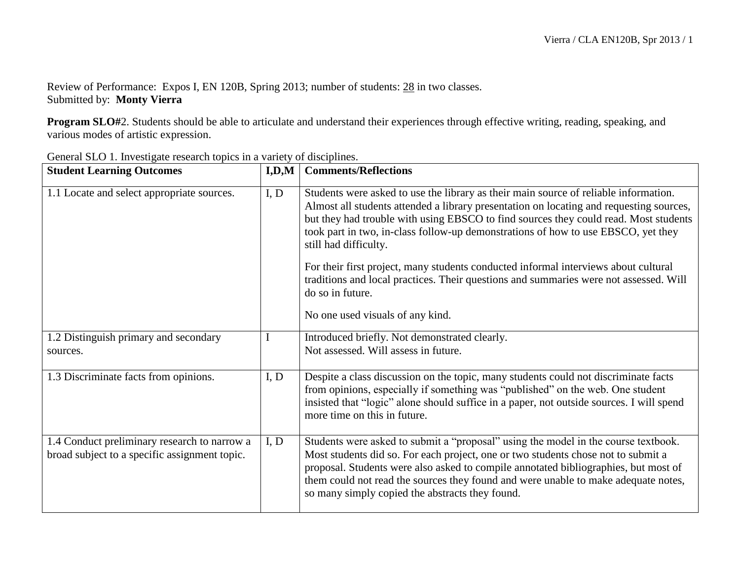Review of Performance: Expos I, EN 120B, Spring 2013; number of students: 28 in two classes. Submitted by: **Monty Vierra**

**Program SLO#**2. Students should be able to articulate and understand their experiences through effective writing, reading, speaking, and various modes of artistic expression.

| <b>Student Learning Outcomes</b>                                                              | I, D, M | <b>Comments/Reflections</b>                                                                                                                                                                                                                                                                                                                                                                             |
|-----------------------------------------------------------------------------------------------|---------|---------------------------------------------------------------------------------------------------------------------------------------------------------------------------------------------------------------------------------------------------------------------------------------------------------------------------------------------------------------------------------------------------------|
| 1.1 Locate and select appropriate sources.                                                    | I, D    | Students were asked to use the library as their main source of reliable information.<br>Almost all students attended a library presentation on locating and requesting sources,<br>but they had trouble with using EBSCO to find sources they could read. Most students<br>took part in two, in-class follow-up demonstrations of how to use EBSCO, yet they<br>still had difficulty.                   |
|                                                                                               |         | For their first project, many students conducted informal interviews about cultural<br>traditions and local practices. Their questions and summaries were not assessed. Will<br>do so in future.<br>No one used visuals of any kind.                                                                                                                                                                    |
|                                                                                               |         |                                                                                                                                                                                                                                                                                                                                                                                                         |
| 1.2 Distinguish primary and secondary<br>sources.                                             |         | Introduced briefly. Not demonstrated clearly.<br>Not assessed. Will assess in future.                                                                                                                                                                                                                                                                                                                   |
| 1.3 Discriminate facts from opinions.                                                         | I, D    | Despite a class discussion on the topic, many students could not discriminate facts<br>from opinions, especially if something was "published" on the web. One student<br>insisted that "logic" alone should suffice in a paper, not outside sources. I will spend<br>more time on this in future.                                                                                                       |
| 1.4 Conduct preliminary research to narrow a<br>broad subject to a specific assignment topic. | I, D    | Students were asked to submit a "proposal" using the model in the course textbook.<br>Most students did so. For each project, one or two students chose not to submit a<br>proposal. Students were also asked to compile annotated bibliographies, but most of<br>them could not read the sources they found and were unable to make adequate notes,<br>so many simply copied the abstracts they found. |

General SLO 1. Investigate research topics in a variety of disciplines.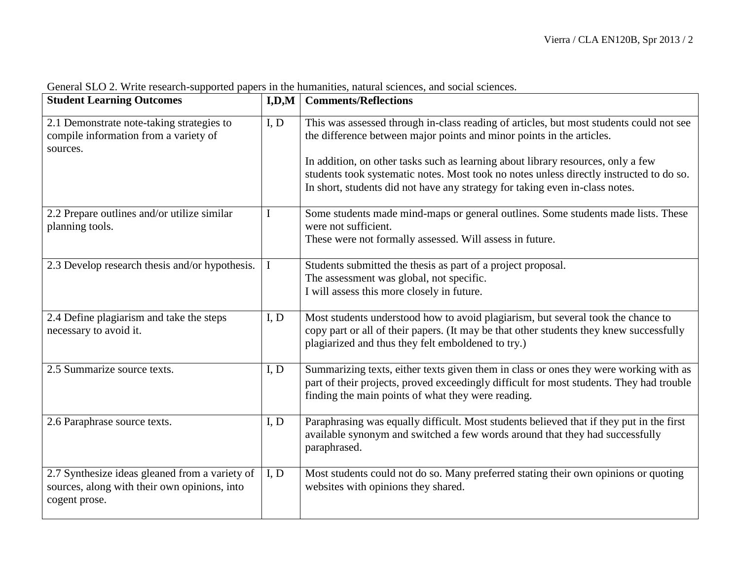| <b>Student Learning Outcomes</b>                                                                                | I, D, M | <b>Comments/Reflections</b>                                                                                                                                                                                                                                                                                                                                                                                                     |
|-----------------------------------------------------------------------------------------------------------------|---------|---------------------------------------------------------------------------------------------------------------------------------------------------------------------------------------------------------------------------------------------------------------------------------------------------------------------------------------------------------------------------------------------------------------------------------|
| 2.1 Demonstrate note-taking strategies to<br>compile information from a variety of<br>sources.                  | I, D    | This was assessed through in-class reading of articles, but most students could not see<br>the difference between major points and minor points in the articles.<br>In addition, on other tasks such as learning about library resources, only a few<br>students took systematic notes. Most took no notes unless directly instructed to do so.<br>In short, students did not have any strategy for taking even in-class notes. |
| 2.2 Prepare outlines and/or utilize similar<br>planning tools.                                                  | I       | Some students made mind-maps or general outlines. Some students made lists. These<br>were not sufficient.<br>These were not formally assessed. Will assess in future.                                                                                                                                                                                                                                                           |
| 2.3 Develop research thesis and/or hypothesis.                                                                  | L       | Students submitted the thesis as part of a project proposal.<br>The assessment was global, not specific.<br>I will assess this more closely in future.                                                                                                                                                                                                                                                                          |
| 2.4 Define plagiarism and take the steps<br>necessary to avoid it.                                              | I, D    | Most students understood how to avoid plagiarism, but several took the chance to<br>copy part or all of their papers. (It may be that other students they knew successfully<br>plagiarized and thus they felt emboldened to try.)                                                                                                                                                                                               |
| 2.5 Summarize source texts.                                                                                     | I, D    | Summarizing texts, either texts given them in class or ones they were working with as<br>part of their projects, proved exceedingly difficult for most students. They had trouble<br>finding the main points of what they were reading.                                                                                                                                                                                         |
| 2.6 Paraphrase source texts.                                                                                    | I, D    | Paraphrasing was equally difficult. Most students believed that if they put in the first<br>available synonym and switched a few words around that they had successfully<br>paraphrased.                                                                                                                                                                                                                                        |
| 2.7 Synthesize ideas gleaned from a variety of<br>sources, along with their own opinions, into<br>cogent prose. | I, D    | Most students could not do so. Many preferred stating their own opinions or quoting<br>websites with opinions they shared.                                                                                                                                                                                                                                                                                                      |

General SLO 2. Write research-supported papers in the humanities, natural sciences, and social sciences.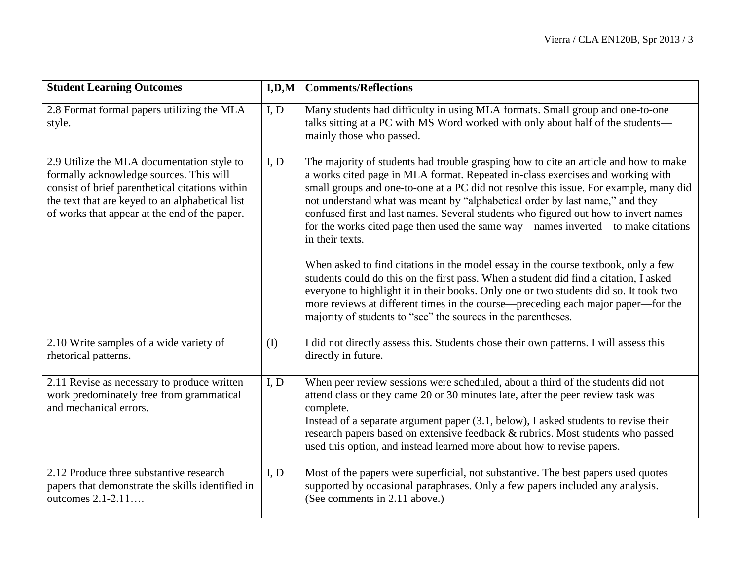| <b>Student Learning Outcomes</b>                                                                                                                                                                                                             | I, D, M | <b>Comments/Reflections</b>                                                                                                                                                                                                                                                                                                                                                                                                                                                                                                                   |
|----------------------------------------------------------------------------------------------------------------------------------------------------------------------------------------------------------------------------------------------|---------|-----------------------------------------------------------------------------------------------------------------------------------------------------------------------------------------------------------------------------------------------------------------------------------------------------------------------------------------------------------------------------------------------------------------------------------------------------------------------------------------------------------------------------------------------|
| 2.8 Format formal papers utilizing the MLA<br>style.                                                                                                                                                                                         | I, D    | Many students had difficulty in using MLA formats. Small group and one-to-one<br>talks sitting at a PC with MS Word worked with only about half of the students-<br>mainly those who passed.                                                                                                                                                                                                                                                                                                                                                  |
| 2.9 Utilize the MLA documentation style to<br>formally acknowledge sources. This will<br>consist of brief parenthetical citations within<br>the text that are keyed to an alphabetical list<br>of works that appear at the end of the paper. | I, D    | The majority of students had trouble grasping how to cite an article and how to make<br>a works cited page in MLA format. Repeated in-class exercises and working with<br>small groups and one-to-one at a PC did not resolve this issue. For example, many did<br>not understand what was meant by "alphabetical order by last name," and they<br>confused first and last names. Several students who figured out how to invert names<br>for the works cited page then used the same way—names inverted—to make citations<br>in their texts. |
|                                                                                                                                                                                                                                              |         | When asked to find citations in the model essay in the course textbook, only a few<br>students could do this on the first pass. When a student did find a citation, I asked<br>everyone to highlight it in their books. Only one or two students did so. It took two<br>more reviews at different times in the course—preceding each major paper—for the<br>majority of students to "see" the sources in the parentheses.                                                                                                                     |
| 2.10 Write samples of a wide variety of<br>rhetorical patterns.                                                                                                                                                                              | (I)     | I did not directly assess this. Students chose their own patterns. I will assess this<br>directly in future.                                                                                                                                                                                                                                                                                                                                                                                                                                  |
| 2.11 Revise as necessary to produce written<br>work predominately free from grammatical<br>and mechanical errors.                                                                                                                            | I, D    | When peer review sessions were scheduled, about a third of the students did not<br>attend class or they came 20 or 30 minutes late, after the peer review task was<br>complete.<br>Instead of a separate argument paper (3.1, below), I asked students to revise their<br>research papers based on extensive feedback & rubrics. Most students who passed<br>used this option, and instead learned more about how to revise papers.                                                                                                           |
| 2.12 Produce three substantive research<br>papers that demonstrate the skills identified in<br>outcomes 2.1-2.11                                                                                                                             | I, D    | Most of the papers were superficial, not substantive. The best papers used quotes<br>supported by occasional paraphrases. Only a few papers included any analysis.<br>(See comments in 2.11 above.)                                                                                                                                                                                                                                                                                                                                           |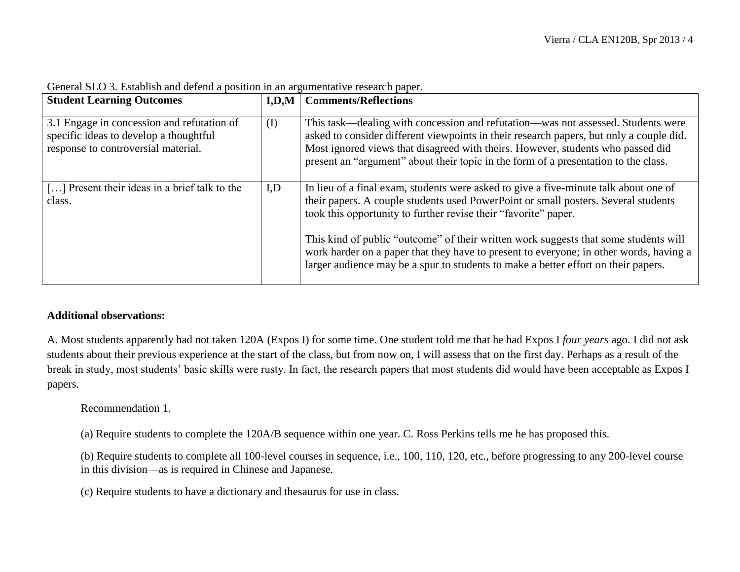| <b>Student Learning Outcomes</b>                                                                                            |     | <b>I,D,M</b>   Comments/Reflections                                                                                                                                                                                                                                                                                                                                                                                                                                                                                   |
|-----------------------------------------------------------------------------------------------------------------------------|-----|-----------------------------------------------------------------------------------------------------------------------------------------------------------------------------------------------------------------------------------------------------------------------------------------------------------------------------------------------------------------------------------------------------------------------------------------------------------------------------------------------------------------------|
| 3.1 Engage in concession and refutation of<br>specific ideas to develop a thoughtful<br>response to controversial material. | (I) | This task—dealing with concession and refutation—was not assessed. Students were<br>asked to consider different viewpoints in their research papers, but only a couple did.<br>Most ignored views that disagreed with theirs. However, students who passed did<br>present an "argument" about their topic in the form of a presentation to the class.                                                                                                                                                                 |
| [] Present their ideas in a brief talk to the<br>class.                                                                     | I,D | In lieu of a final exam, students were asked to give a five-minute talk about one of<br>their papers. A couple students used PowerPoint or small posters. Several students<br>took this opportunity to further revise their "favorite" paper.<br>This kind of public "outcome" of their written work suggests that some students will<br>work harder on a paper that they have to present to everyone; in other words, having a<br>larger audience may be a spur to students to make a better effort on their papers. |

General SLO 3. Establish and defend a position in an argumentative research paper.

## **Additional observations:**

A. Most students apparently had not taken 120A (Expos I) for some time. One student told me that he had Expos I *four years* ago. I did not ask students about their previous experience at the start of the class, but from now on, I will assess that on the first day. Perhaps as a result of the break in study, most students' basic skills were rusty. In fact, the research papers that most students did would have been acceptable as Expos I papers.

Recommendation 1.

(a) Require students to complete the 120A/B sequence within one year. C. Ross Perkins tells me he has proposed this.

(b) Require students to complete all 100-level courses in sequence, i.e., 100, 110, 120, etc., before progressing to any 200-level course in this division—as is required in Chinese and Japanese.

(c) Require students to have a dictionary and thesaurus for use in class.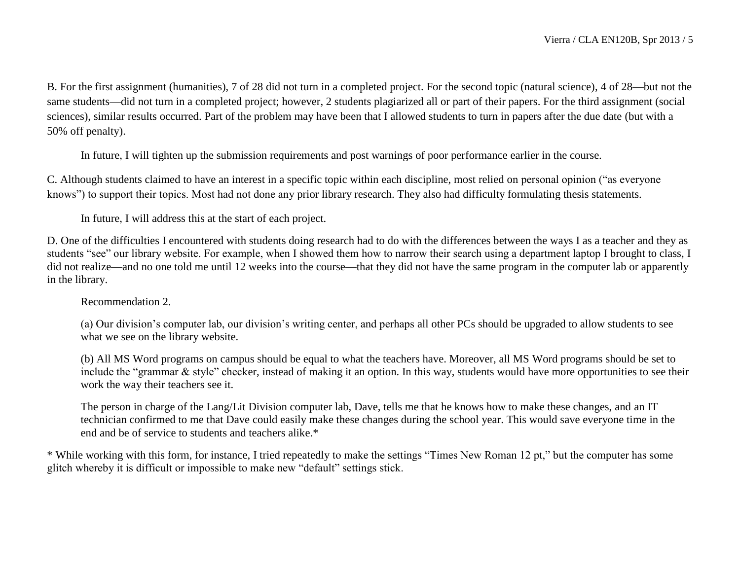B. For the first assignment (humanities), 7 of 28 did not turn in a completed project. For the second topic (natural science), 4 of 28—but not the same students—did not turn in a completed project; however, 2 students plagiarized all or part of their papers. For the third assignment (social sciences), similar results occurred. Part of the problem may have been that I allowed students to turn in papers after the due date (but with a 50% off penalty).

In future, I will tighten up the submission requirements and post warnings of poor performance earlier in the course.

C. Although students claimed to have an interest in a specific topic within each discipline, most relied on personal opinion ("as everyone knows") to support their topics. Most had not done any prior library research. They also had difficulty formulating thesis statements.

In future, I will address this at the start of each project.

D. One of the difficulties I encountered with students doing research had to do with the differences between the ways I as a teacher and they as students "see" our library website. For example, when I showed them how to narrow their search using a department laptop I brought to class, I did not realize—and no one told me until 12 weeks into the course—that they did not have the same program in the computer lab or apparently in the library.

Recommendation 2.

(a) Our division's computer lab, our division's writing center, and perhaps all other PCs should be upgraded to allow students to see what we see on the library website.

(b) All MS Word programs on campus should be equal to what the teachers have. Moreover, all MS Word programs should be set to include the "grammar & style" checker, instead of making it an option. In this way, students would have more opportunities to see their work the way their teachers see it.

The person in charge of the Lang/Lit Division computer lab, Dave, tells me that he knows how to make these changes, and an IT technician confirmed to me that Dave could easily make these changes during the school year. This would save everyone time in the end and be of service to students and teachers alike.\*

\* While working with this form, for instance, I tried repeatedly to make the settings "Times New Roman 12 pt," but the computer has some glitch whereby it is difficult or impossible to make new "default" settings stick.